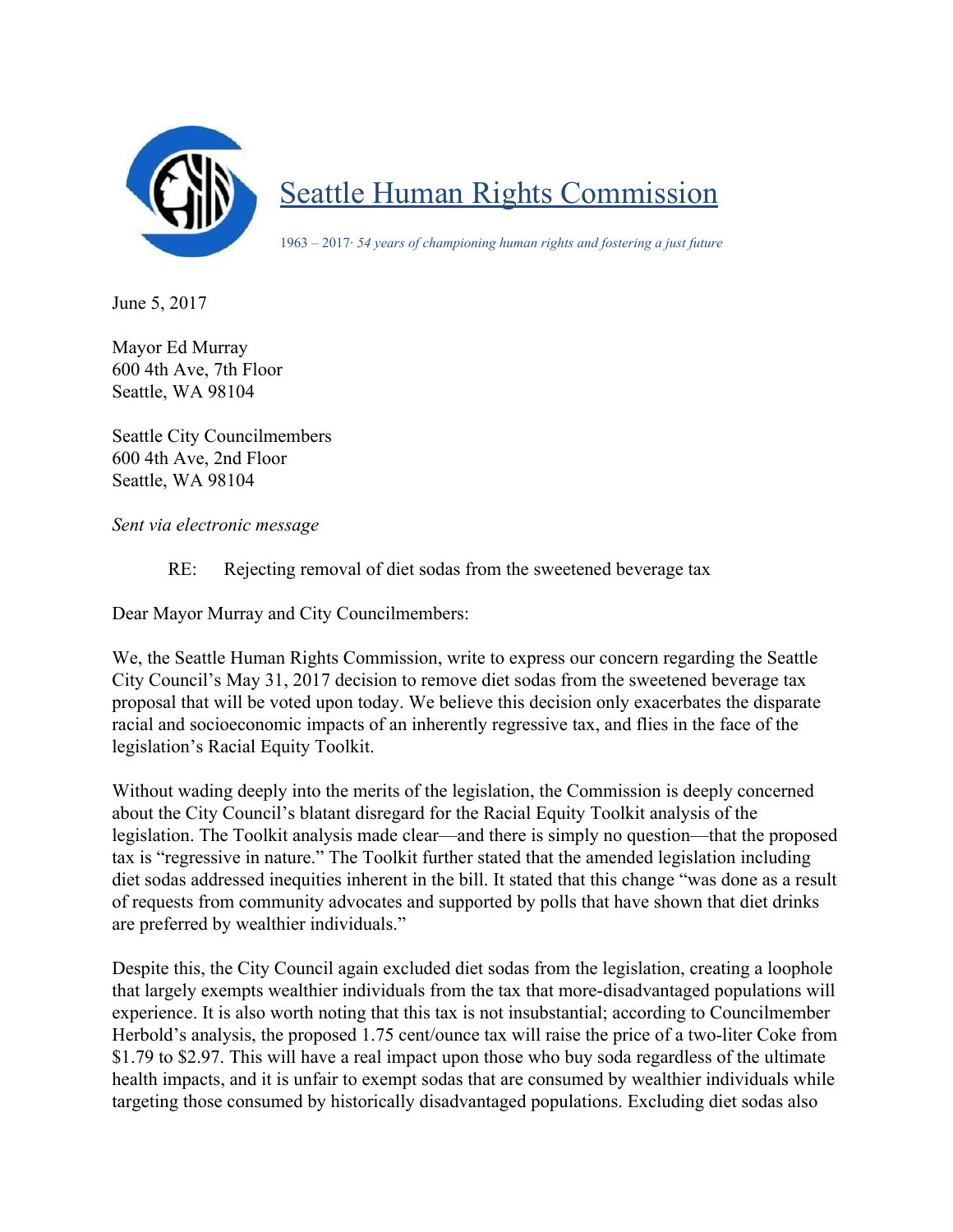

Seattle Human Rights Commission

1963 – 2017· *54 years of championing human rights and fostering a just future*

June 5, 2017

Mayor Ed Murray 600 4th Ave, 7th Floor Seattle, WA 98104

Seattle City Councilmembers 600 4th Ave, 2nd Floor Seattle, WA 98104

*Sent via electronic message*

RE: Rejecting removal of diet sodas from the sweetened beverage tax

Dear Mayor Murray and City Councilmembers:

We, the Seattle Human Rights Commission, write to express our concern regarding the Seattle City Council's May 31, 2017 decision to remove diet sodas from the sweetened beverage tax proposal that will be voted upon today. We believe this decision only exacerbates the disparate racial and socioeconomic impacts of an inherently regressive tax, and flies in the face of the legislation's Racial Equity Toolkit.

Without wading deeply into the merits of the legislation, the Commission is deeply concerned about the City Council's blatant disregard for the Racial Equity Toolkit analysis of the legislation. The Toolkit analysis made clear—and there is simply no question—that the proposed tax is "regressive in nature." The Toolkit further stated that the amended legislation including diet sodas addressed inequities inherent in the bill. It stated that this change "was done as a result of requests from community advocates and supported by polls that have shown that diet drinks are preferred by wealthier individuals."

Despite this, the City Council again excluded diet sodas from the legislation, creating a loophole that largely exempts wealthier individuals from the tax that more-disadvantaged populations will experience. It is also worth noting that this tax is not insubstantial; according to Councilmember Herbold's analysis, the proposed 1.75 cent/ounce tax will raise the price of a two-liter Coke from \$1.79 to \$2.97. This will have a real impact upon those who buy soda regardless of the ultimate health impacts, and it is unfair to exempt sodas that are consumed by wealthier individuals while targeting those consumed by historically disadvantaged populations. Excluding diet sodas also